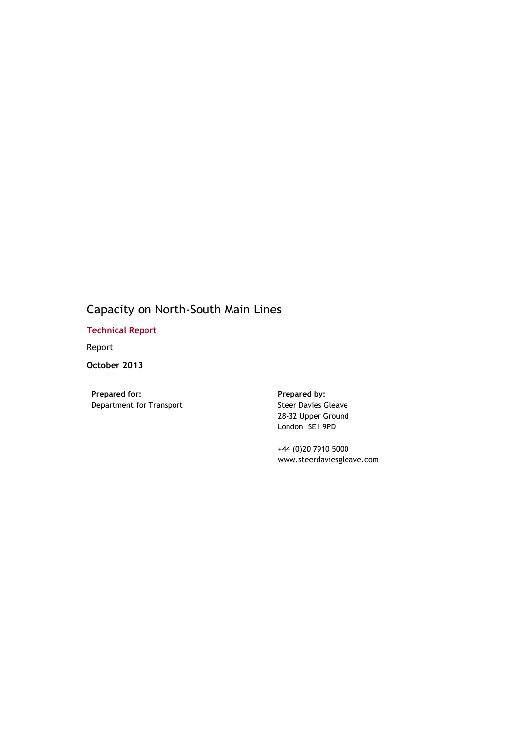# Capacity on North-South Main Lines

Technical Report

Report

October 2013

Prepared for: Prepared by: Department for Transport

Steer Davies Gleave 28-32 Upper Ground London SE1 9PD

+44 (0)20 7910 5000 www.steerdaviesgleave.com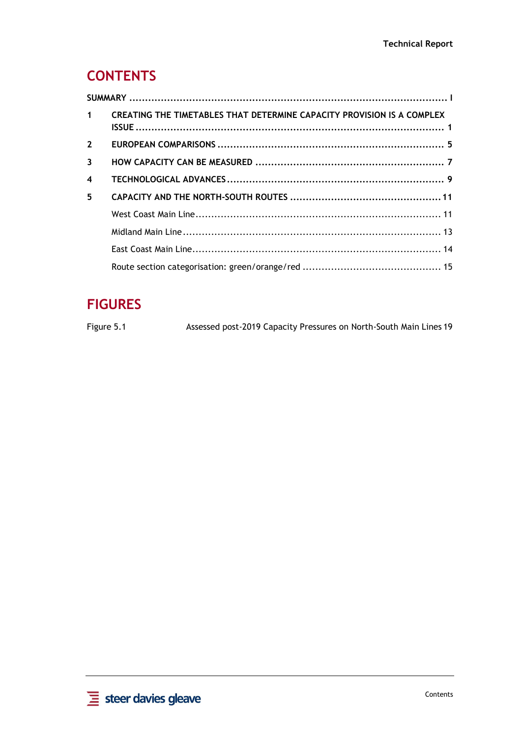# **CONTENTS**

| 1                       | CREATING THE TIMETABLES THAT DETERMINE CAPACITY PROVISION IS A COMPLEX |  |
|-------------------------|------------------------------------------------------------------------|--|
| $2^{\circ}$             |                                                                        |  |
| $\mathbf{3}$            |                                                                        |  |
| $\overline{\mathbf{4}}$ |                                                                        |  |
| 5                       |                                                                        |  |
|                         |                                                                        |  |
|                         |                                                                        |  |
|                         |                                                                        |  |
|                         |                                                                        |  |

# FIGURES

Figure 5.1 Assessed post-2019 Capacity Pressures on North-South Main Lines 19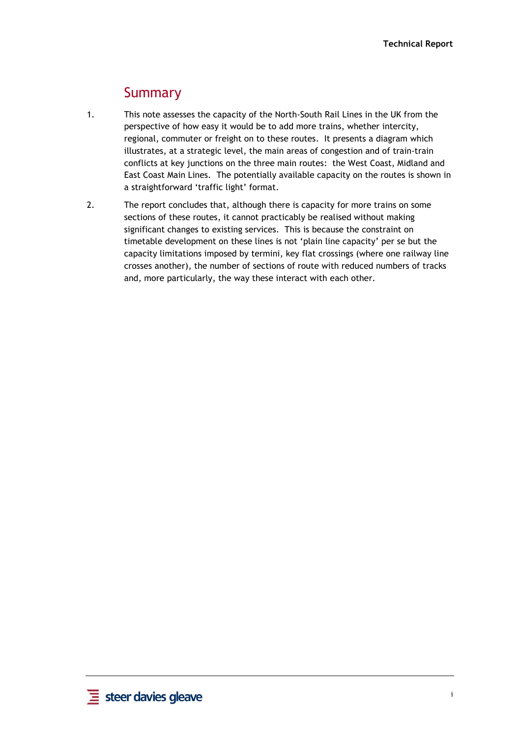### Summary

- 1. This note assesses the capacity of the North-South Rail Lines in the UK from the perspective of how easy it would be to add more trains, whether intercity, regional, commuter or freight on to these routes. It presents a diagram which illustrates, at a strategic level, the main areas of congestion and of train-train conflicts at key junctions on the three main routes: the West Coast, Midland and East Coast Main Lines. The potentially available capacity on the routes is shown in a straightforward 'traffic light' format.
- 2. The report concludes that, although there is capacity for more trains on some sections of these routes, it cannot practicably be realised without making significant changes to existing services. This is because the constraint on timetable development on these lines is not 'plain line capacity' per se but the capacity limitations imposed by termini, key flat crossings (where one railway line crosses another), the number of sections of route with reduced numbers of tracks and, more particularly, the way these interact with each other.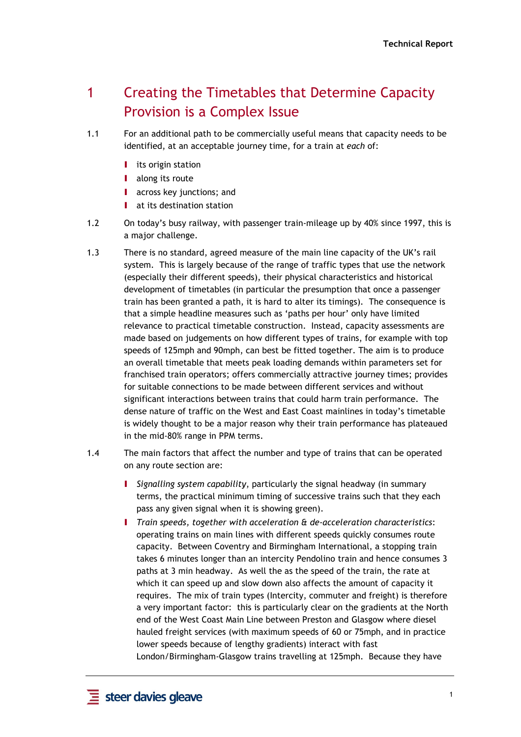# 1 Creating the Timetables that Determine Capacity Provision is a Complex Issue

- 1.1 For an additional path to be commercially useful means that capacity needs to be identified, at an acceptable journey time, for a train at each of:
	- **I** its origin station
	- I along its route
	- **I** across key junctions; and
	- I at its destination station
- 1.2 On today's busy railway, with passenger train-mileage up by 40% since 1997, this is a major challenge.
- 1.3 There is no standard, agreed measure of the main line capacity of the UK's rail system. This is largely because of the range of traffic types that use the network (especially their different speeds), their physical characteristics and historical development of timetables (in particular the presumption that once a passenger train has been granted a path, it is hard to alter its timings). The consequence is that a simple headline measures such as 'paths per hour' only have limited relevance to practical timetable construction. Instead, capacity assessments are made based on judgements on how different types of trains, for example with top speeds of 125mph and 90mph, can best be fitted together. The aim is to produce an overall timetable that meets peak loading demands within parameters set for franchised train operators; offers commercially attractive journey times; provides for suitable connections to be made between different services and without significant interactions between trains that could harm train performance. The dense nature of traffic on the West and East Coast mainlines in today's timetable is widely thought to be a major reason why their train performance has plateaued in the mid-80% range in PPM terms.
- 1.4 The main factors that affect the number and type of trains that can be operated on any route section are:
	- I Signalling system capability, particularly the signal headway (in summary terms, the practical minimum timing of successive trains such that they each pass any given signal when it is showing green).
	- I Train speeds, together with acceleration & de-acceleration characteristics: operating trains on main lines with different speeds quickly consumes route capacity. Between Coventry and Birmingham International, a stopping train takes 6 minutes longer than an intercity Pendolino train and hence consumes 3 paths at 3 min headway. As well the as the speed of the train, the rate at which it can speed up and slow down also affects the amount of capacity it requires. The mix of train types (Intercity, commuter and freight) is therefore a very important factor: this is particularly clear on the gradients at the North end of the West Coast Main Line between Preston and Glasgow where diesel hauled freight services (with maximum speeds of 60 or 75mph, and in practice lower speeds because of lengthy gradients) interact with fast London/Birmingham-Glasgow trains travelling at 125mph. Because they have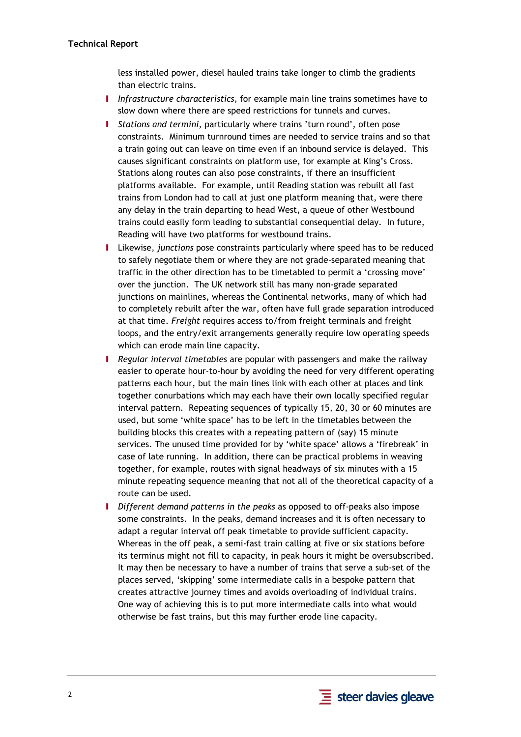less installed power, diesel hauled trains take longer to climb the gradients than electric trains.

- I Infrastructure characteristics, for example main line trains sometimes have to slow down where there are speed restrictions for tunnels and curves.
- I Stations and termini, particularly where trains 'turn round', often pose constraints. Minimum turnround times are needed to service trains and so that a train going out can leave on time even if an inbound service is delayed. This causes significant constraints on platform use, for example at King's Cross. Stations along routes can also pose constraints, if there an insufficient platforms available. For example, until Reading station was rebuilt all fast trains from London had to call at just one platform meaning that, were there any delay in the train departing to head West, a queue of other Westbound trains could easily form leading to substantial consequential delay. In future, Reading will have two platforms for westbound trains.
- I Likewise, junctions pose constraints particularly where speed has to be reduced to safely negotiate them or where they are not grade-separated meaning that traffic in the other direction has to be timetabled to permit a 'crossing move' over the junction. The UK network still has many non-grade separated junctions on mainlines, whereas the Continental networks, many of which had to completely rebuilt after the war, often have full grade separation introduced at that time. Freight requires access to/from freight terminals and freight loops, and the entry/exit arrangements generally require low operating speeds which can erode main line capacity.
- **I** Regular interval timetables are popular with passengers and make the railway easier to operate hour-to-hour by avoiding the need for very different operating patterns each hour, but the main lines link with each other at places and link together conurbations which may each have their own locally specified regular interval pattern. Repeating sequences of typically 15, 20, 30 or 60 minutes are used, but some 'white space' has to be left in the timetables between the building blocks this creates with a repeating pattern of (say) 15 minute services. The unused time provided for by 'white space' allows a 'firebreak' in case of late running. In addition, there can be practical problems in weaving together, for example, routes with signal headways of six minutes with a 15 minute repeating sequence meaning that not all of the theoretical capacity of a route can be used.
- **I** Different demand patterns in the peaks as opposed to off-peaks also impose some constraints. In the peaks, demand increases and it is often necessary to adapt a regular interval off peak timetable to provide sufficient capacity. Whereas in the off peak, a semi-fast train calling at five or six stations before its terminus might not fill to capacity, in peak hours it might be oversubscribed. It may then be necessary to have a number of trains that serve a sub-set of the places served, 'skipping' some intermediate calls in a bespoke pattern that creates attractive journey times and avoids overloading of individual trains. One way of achieving this is to put more intermediate calls into what would otherwise be fast trains, but this may further erode line capacity.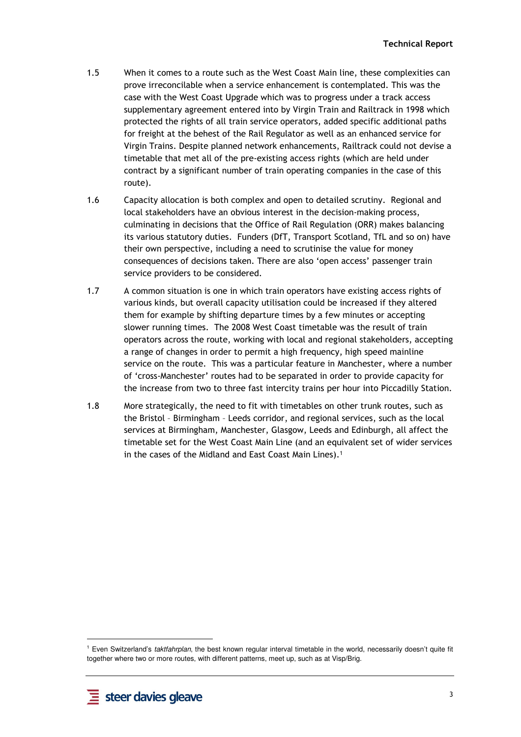- 1.5 When it comes to a route such as the West Coast Main line, these complexities can prove irreconcilable when a service enhancement is contemplated. This was the case with the West Coast Upgrade which was to progress under a track access supplementary agreement entered into by Virgin Train and Railtrack in 1998 which protected the rights of all train service operators, added specific additional paths for freight at the behest of the Rail Regulator as well as an enhanced service for Virgin Trains. Despite planned network enhancements, Railtrack could not devise a timetable that met all of the pre-existing access rights (which are held under contract by a significant number of train operating companies in the case of this route).
- 1.6 Capacity allocation is both complex and open to detailed scrutiny. Regional and local stakeholders have an obvious interest in the decision-making process, culminating in decisions that the Office of Rail Regulation (ORR) makes balancing its various statutory duties. Funders (DfT, Transport Scotland, TfL and so on) have their own perspective, including a need to scrutinise the value for money consequences of decisions taken. There are also 'open access' passenger train service providers to be considered.
- 1.7 A common situation is one in which train operators have existing access rights of various kinds, but overall capacity utilisation could be increased if they altered them for example by shifting departure times by a few minutes or accepting slower running times. The 2008 West Coast timetable was the result of train operators across the route, working with local and regional stakeholders, accepting a range of changes in order to permit a high frequency, high speed mainline service on the route. This was a particular feature in Manchester, where a number of 'cross-Manchester' routes had to be separated in order to provide capacity for the increase from two to three fast intercity trains per hour into Piccadilly Station.
- 1.8 More strategically, the need to fit with timetables on other trunk routes, such as the Bristol – Birmingham – Leeds corridor, and regional services, such as the local services at Birmingham, Manchester, Glasgow, Leeds and Edinburgh, all affect the timetable set for the West Coast Main Line (and an equivalent set of wider services in the cases of the Midland and East Coast Main Lines).<sup>1</sup>

 $\overline{a}$ 

<sup>&</sup>lt;sup>1</sup> Even Switzerland's taktfahrplan, the best known regular interval timetable in the world, necessarily doesn't quite fit together where two or more routes, with different patterns, meet up, such as at Visp/Brig.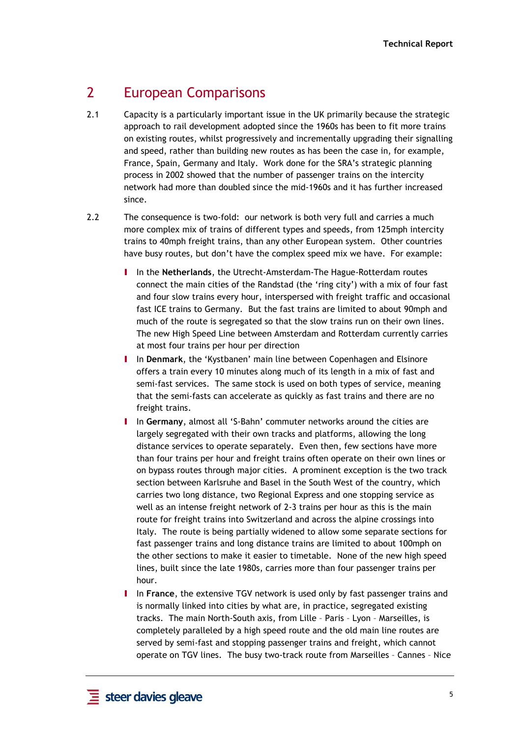## 2 European Comparisons

- 2.1 Capacity is a particularly important issue in the UK primarily because the strategic approach to rail development adopted since the 1960s has been to fit more trains on existing routes, whilst progressively and incrementally upgrading their signalling and speed, rather than building new routes as has been the case in, for example, France, Spain, Germany and Italy. Work done for the SRA's strategic planning process in 2002 showed that the number of passenger trains on the intercity network had more than doubled since the mid-1960s and it has further increased since.
- 2.2 The consequence is two-fold: our network is both very full and carries a much more complex mix of trains of different types and speeds, from 125mph intercity trains to 40mph freight trains, than any other European system. Other countries have busy routes, but don't have the complex speed mix we have. For example:
	- In the Netherlands, the Utrecht-Amsterdam-The Hague-Rotterdam routes connect the main cities of the Randstad (the 'ring city') with a mix of four fast and four slow trains every hour, interspersed with freight traffic and occasional fast ICE trains to Germany. But the fast trains are limited to about 90mph and much of the route is segregated so that the slow trains run on their own lines. The new High Speed Line between Amsterdam and Rotterdam currently carries at most four trains per hour per direction
	- I In Denmark, the 'Kystbanen' main line between Copenhagen and Elsinore offers a train every 10 minutes along much of its length in a mix of fast and semi-fast services. The same stock is used on both types of service, meaning that the semi-fasts can accelerate as quickly as fast trains and there are no freight trains.
	- I In Germany, almost all 'S-Bahn' commuter networks around the cities are largely segregated with their own tracks and platforms, allowing the long distance services to operate separately. Even then, few sections have more than four trains per hour and freight trains often operate on their own lines or on bypass routes through major cities. A prominent exception is the two track section between Karlsruhe and Basel in the South West of the country, which carries two long distance, two Regional Express and one stopping service as well as an intense freight network of 2-3 trains per hour as this is the main route for freight trains into Switzerland and across the alpine crossings into Italy. The route is being partially widened to allow some separate sections for fast passenger trains and long distance trains are limited to about 100mph on the other sections to make it easier to timetable. None of the new high speed lines, built since the late 1980s, carries more than four passenger trains per hour.
	- In France, the extensive TGV network is used only by fast passenger trains and is normally linked into cities by what are, in practice, segregated existing tracks. The main North-South axis, from Lille – Paris – Lyon – Marseilles, is completely paralleled by a high speed route and the old main line routes are served by semi-fast and stopping passenger trains and freight, which cannot operate on TGV lines. The busy two-track route from Marseilles – Cannes – Nice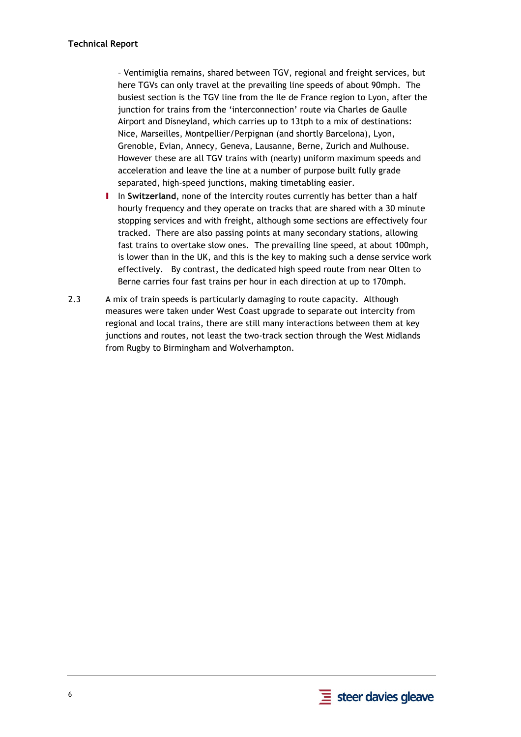– Ventimiglia remains, shared between TGV, regional and freight services, but here TGVs can only travel at the prevailing line speeds of about 90mph. The busiest section is the TGV line from the Ile de France region to Lyon, after the junction for trains from the 'interconnection' route via Charles de Gaulle Airport and Disneyland, which carries up to 13tph to a mix of destinations: Nice, Marseilles, Montpellier/Perpignan (and shortly Barcelona), Lyon, Grenoble, Evian, Annecy, Geneva, Lausanne, Berne, Zurich and Mulhouse. However these are all TGV trains with (nearly) uniform maximum speeds and acceleration and leave the line at a number of purpose built fully grade separated, high-speed junctions, making timetabling easier.

- I In Switzerland, none of the intercity routes currently has better than a half hourly frequency and they operate on tracks that are shared with a 30 minute stopping services and with freight, although some sections are effectively four tracked. There are also passing points at many secondary stations, allowing fast trains to overtake slow ones. The prevailing line speed, at about 100mph, is lower than in the UK, and this is the key to making such a dense service work effectively. By contrast, the dedicated high speed route from near Olten to Berne carries four fast trains per hour in each direction at up to 170mph.
- 2.3 A mix of train speeds is particularly damaging to route capacity. Although measures were taken under West Coast upgrade to separate out intercity from regional and local trains, there are still many interactions between them at key junctions and routes, not least the two-track section through the West Midlands from Rugby to Birmingham and Wolverhampton.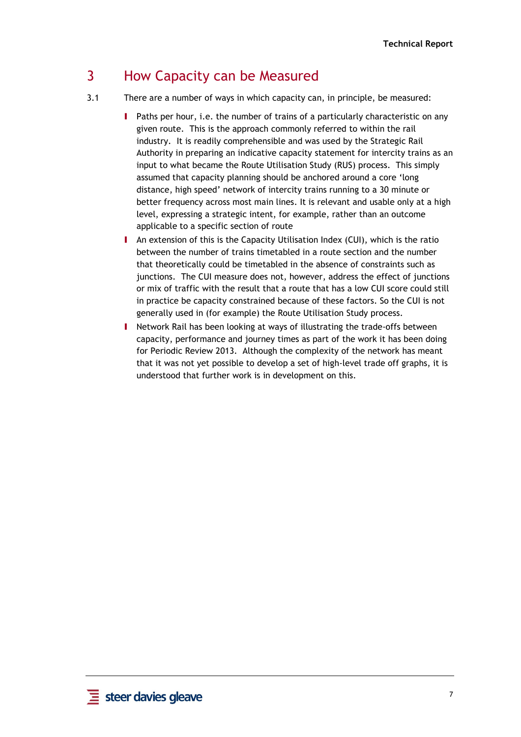### 3 How Capacity can be Measured

- 3.1 There are a number of ways in which capacity can, in principle, be measured:
	- I Paths per hour, i.e. the number of trains of a particularly characteristic on any given route. This is the approach commonly referred to within the rail industry. It is readily comprehensible and was used by the Strategic Rail Authority in preparing an indicative capacity statement for intercity trains as an input to what became the Route Utilisation Study (RUS) process. This simply assumed that capacity planning should be anchored around a core 'long distance, high speed' network of intercity trains running to a 30 minute or better frequency across most main lines. It is relevant and usable only at a high level, expressing a strategic intent, for example, rather than an outcome applicable to a specific section of route
	- I An extension of this is the Capacity Utilisation Index (CUI), which is the ratio between the number of trains timetabled in a route section and the number that theoretically could be timetabled in the absence of constraints such as junctions. The CUI measure does not, however, address the effect of junctions or mix of traffic with the result that a route that has a low CUI score could still in practice be capacity constrained because of these factors. So the CUI is not generally used in (for example) the Route Utilisation Study process.
	- I Network Rail has been looking at ways of illustrating the trade-offs between capacity, performance and journey times as part of the work it has been doing for Periodic Review 2013. Although the complexity of the network has meant that it was not yet possible to develop a set of high-level trade off graphs, it is understood that further work is in development on this.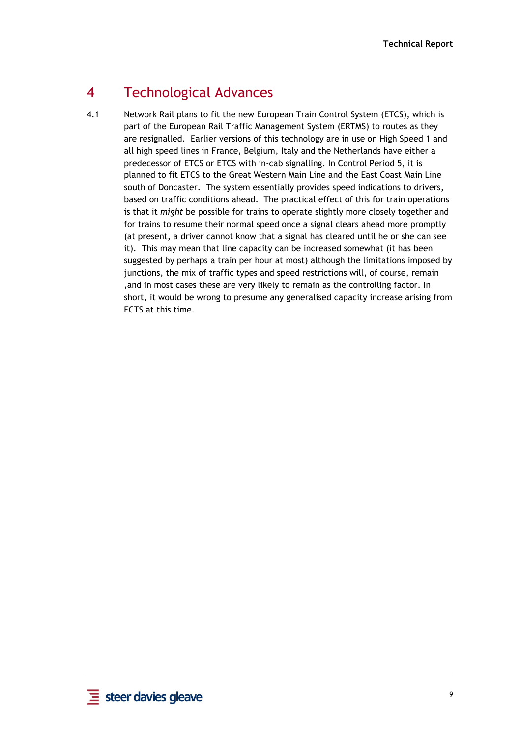## 4 Technological Advances

4.1 Network Rail plans to fit the new European Train Control System (ETCS), which is part of the European Rail Traffic Management System (ERTMS) to routes as they are resignalled. Earlier versions of this technology are in use on High Speed 1 and all high speed lines in France, Belgium, Italy and the Netherlands have either a predecessor of ETCS or ETCS with in-cab signalling. In Control Period 5, it is planned to fit ETCS to the Great Western Main Line and the East Coast Main Line south of Doncaster. The system essentially provides speed indications to drivers, based on traffic conditions ahead. The practical effect of this for train operations is that it might be possible for trains to operate slightly more closely together and for trains to resume their normal speed once a signal clears ahead more promptly (at present, a driver cannot know that a signal has cleared until he or she can see it). This may mean that line capacity can be increased somewhat (it has been suggested by perhaps a train per hour at most) although the limitations imposed by junctions, the mix of traffic types and speed restrictions will, of course, remain ,and in most cases these are very likely to remain as the controlling factor. In short, it would be wrong to presume any generalised capacity increase arising from ECTS at this time.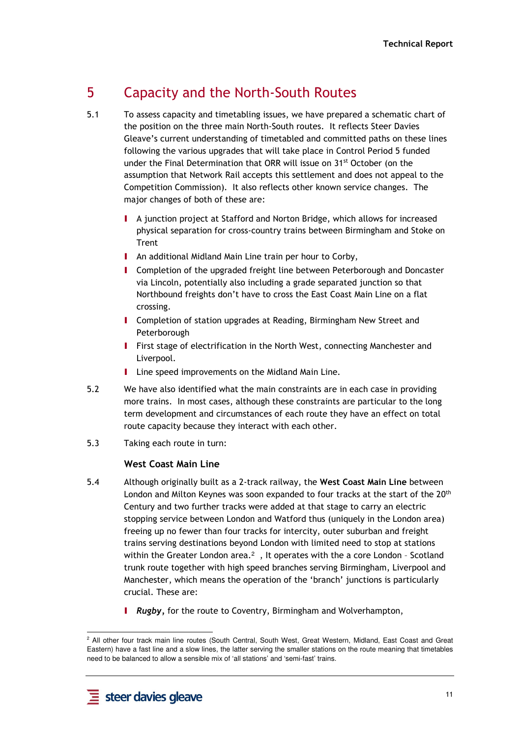# 5 Capacity and the North-South Routes

- 5.1 To assess capacity and timetabling issues, we have prepared a schematic chart of the position on the three main North-South routes. It reflects Steer Davies Gleave's current understanding of timetabled and committed paths on these lines following the various upgrades that will take place in Control Period 5 funded under the Final Determination that ORR will issue on 31st October (on the assumption that Network Rail accepts this settlement and does not appeal to the Competition Commission). It also reflects other known service changes. The major changes of both of these are:
	- I A junction project at Stafford and Norton Bridge, which allows for increased physical separation for cross-country trains between Birmingham and Stoke on Trent
	- I An additional Midland Main Line train per hour to Corby,
	- I Completion of the upgraded freight line between Peterborough and Doncaster via Lincoln, potentially also including a grade separated junction so that Northbound freights don't have to cross the East Coast Main Line on a flat crossing.
	- **I** Completion of station upgrades at Reading, Birmingham New Street and Peterborough
	- **I** First stage of electrification in the North West, connecting Manchester and Liverpool.
	- **I** Line speed improvements on the Midland Main Line.
- 5.2 We have also identified what the main constraints are in each case in providing more trains. In most cases, although these constraints are particular to the long term development and circumstances of each route they have an effect on total route capacity because they interact with each other.
- 5.3 Taking each route in turn:

### West Coast Main Line

- 5.4 Although originally built as a 2-track railway, the West Coast Main Line between London and Milton Keynes was soon expanded to four tracks at the start of the 20<sup>th</sup> Century and two further tracks were added at that stage to carry an electric stopping service between London and Watford thus (uniquely in the London area) freeing up no fewer than four tracks for intercity, outer suburban and freight trains serving destinations beyond London with limited need to stop at stations within the Greater London area.<sup>2</sup>, It operates with the a core London - Scotland trunk route together with high speed branches serving Birmingham, Liverpool and Manchester, which means the operation of the 'branch' junctions is particularly crucial. These are:
	- **I** Rugby, for the route to Coventry, Birmingham and Wolverhampton,

 $\overline{a}$ 2 All other four track main line routes (South Central, South West, Great Western, Midland, East Coast and Great Eastern) have a fast line and a slow lines, the latter serving the smaller stations on the route meaning that timetables need to be balanced to allow a sensible mix of 'all stations' and 'semi-fast' trains.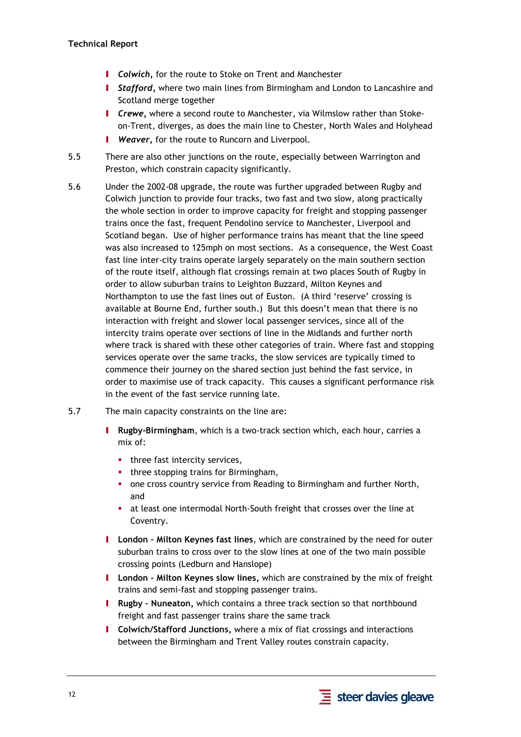- **I** Colwich, for the route to Stoke on Trent and Manchester
- **I** Stafford, where two main lines from Birmingham and London to Lancashire and Scotland merge together
- **I** Crewe, where a second route to Manchester, via Wilmslow rather than Stokeon-Trent, diverges, as does the main line to Chester, North Wales and Holyhead
- **I** Weaver, for the route to Runcorn and Liverpool.
- 5.5 There are also other junctions on the route, especially between Warrington and Preston, which constrain capacity significantly.
- 5.6 Under the 2002-08 upgrade, the route was further upgraded between Rugby and Colwich junction to provide four tracks, two fast and two slow, along practically the whole section in order to improve capacity for freight and stopping passenger trains once the fast, frequent Pendolino service to Manchester, Liverpool and Scotland began. Use of higher performance trains has meant that the line speed was also increased to 125mph on most sections. As a consequence, the West Coast fast line inter-city trains operate largely separately on the main southern section of the route itself, although flat crossings remain at two places South of Rugby in order to allow suburban trains to Leighton Buzzard, Milton Keynes and Northampton to use the fast lines out of Euston. (A third 'reserve' crossing is available at Bourne End, further south.) But this doesn't mean that there is no interaction with freight and slower local passenger services, since all of the intercity trains operate over sections of line in the Midlands and further north where track is shared with these other categories of train. Where fast and stopping services operate over the same tracks, the slow services are typically timed to commence their journey on the shared section just behind the fast service, in order to maximise use of track capacity. This causes a significant performance risk in the event of the fast service running late.
- 5.7 The main capacity constraints on the line are:
	- I Rugby-Birmingham, which is a two-track section which, each hour, carries a mix of:
		- three fast intercity services,
		- **three stopping trains for Birmingham,**
		- one cross country service from Reading to Birmingham and further North, and
		- at least one intermodal North-South freight that crosses over the line at Coventry.
	- I London Milton Keynes fast lines, which are constrained by the need for outer suburban trains to cross over to the slow lines at one of the two main possible crossing points (Ledburn and Hanslope)
	- I London Milton Keynes slow lines, which are constrained by the mix of freight trains and semi-fast and stopping passenger trains.
	- I Rugby Nuneaton, which contains a three track section so that northbound freight and fast passenger trains share the same track
	- I Colwich/Stafford Junctions, where a mix of flat crossings and interactions between the Birmingham and Trent Valley routes constrain capacity.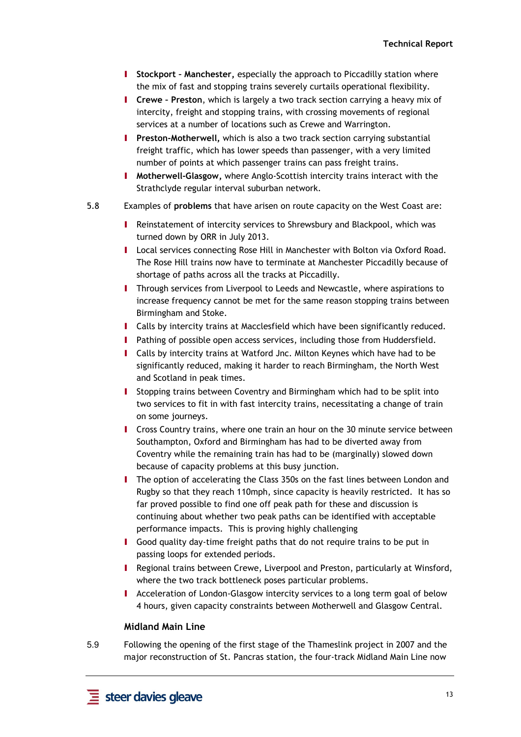- I Stockport Manchester, especially the approach to Piccadilly station where the mix of fast and stopping trains severely curtails operational flexibility.
- **I** Crewe Preston, which is largely a two track section carrying a heavy mix of intercity, freight and stopping trains, with crossing movements of regional services at a number of locations such as Crewe and Warrington.
- **I** Preston-Motherwell, which is also a two track section carrying substantial freight traffic, which has lower speeds than passenger, with a very limited number of points at which passenger trains can pass freight trains.
- I Motherwell-Glasgow, where Anglo-Scottish intercity trains interact with the Strathclyde regular interval suburban network.
- 5.8 Examples of problems that have arisen on route capacity on the West Coast are:
	- I Reinstatement of intercity services to Shrewsbury and Blackpool, which was turned down by ORR in July 2013.
	- I Local services connecting Rose Hill in Manchester with Bolton via Oxford Road. The Rose Hill trains now have to terminate at Manchester Piccadilly because of shortage of paths across all the tracks at Piccadilly.
	- **I** Through services from Liverpool to Leeds and Newcastle, where aspirations to increase frequency cannot be met for the same reason stopping trains between Birmingham and Stoke.
	- I Calls by intercity trains at Macclesfield which have been significantly reduced.
	- **I** Pathing of possible open access services, including those from Huddersfield.
	- I Calls by intercity trains at Watford Jnc. Milton Keynes which have had to be significantly reduced, making it harder to reach Birmingham, the North West and Scotland in peak times.
	- I Stopping trains between Coventry and Birmingham which had to be split into two services to fit in with fast intercity trains, necessitating a change of train on some journeys.
	- I Cross Country trains, where one train an hour on the 30 minute service between Southampton, Oxford and Birmingham has had to be diverted away from Coventry while the remaining train has had to be (marginally) slowed down because of capacity problems at this busy junction.
	- **I** The option of accelerating the Class 350s on the fast lines between London and Rugby so that they reach 110mph, since capacity is heavily restricted. It has so far proved possible to find one off peak path for these and discussion is continuing about whether two peak paths can be identified with acceptable performance impacts. This is proving highly challenging
	- I Good quality day-time freight paths that do not require trains to be put in passing loops for extended periods.
	- I Regional trains between Crewe, Liverpool and Preston, particularly at Winsford, where the two track bottleneck poses particular problems.
	- I Acceleration of London-Glasgow intercity services to a long term goal of below 4 hours, given capacity constraints between Motherwell and Glasgow Central.

#### Midland Main Line

5.9 Following the opening of the first stage of the Thameslink project in 2007 and the major reconstruction of St. Pancras station, the four-track Midland Main Line now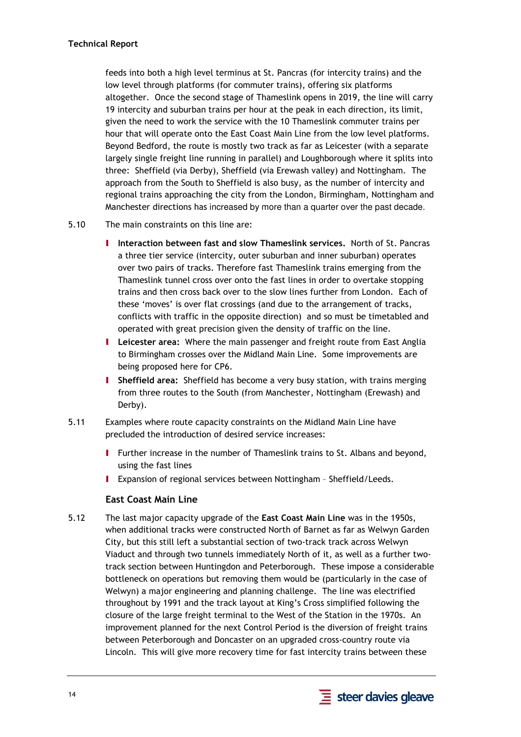feeds into both a high level terminus at St. Pancras (for intercity trains) and the low level through platforms (for commuter trains), offering six platforms altogether. Once the second stage of Thameslink opens in 2019, the line will carry 19 intercity and suburban trains per hour at the peak in each direction, its limit, given the need to work the service with the 10 Thameslink commuter trains per hour that will operate onto the East Coast Main Line from the low level platforms. Beyond Bedford, the route is mostly two track as far as Leicester (with a separate largely single freight line running in parallel) and Loughborough where it splits into three: Sheffield (via Derby), Sheffield (via Erewash valley) and Nottingham. The approach from the South to Sheffield is also busy, as the number of intercity and regional trains approaching the city from the London, Birmingham, Nottingham and Manchester directions has increased by more than a quarter over the past decade.

- 5.10 The main constraints on this line are:
	- I Interaction between fast and slow Thameslink services. North of St. Pancras a three tier service (intercity, outer suburban and inner suburban) operates over two pairs of tracks. Therefore fast Thameslink trains emerging from the Thameslink tunnel cross over onto the fast lines in order to overtake stopping trains and then cross back over to the slow lines further from London. Each of these 'moves' is over flat crossings (and due to the arrangement of tracks, conflicts with traffic in the opposite direction) and so must be timetabled and operated with great precision given the density of traffic on the line.
	- I Leicester area: Where the main passenger and freight route from East Anglia to Birmingham crosses over the Midland Main Line. Some improvements are being proposed here for CP6.
	- I Sheffield area: Sheffield has become a very busy station, with trains merging from three routes to the South (from Manchester, Nottingham (Erewash) and Derby).
- 5.11 Examples where route capacity constraints on the Midland Main Line have precluded the introduction of desired service increases:
	- **I** Further increase in the number of Thameslink trains to St. Albans and beyond, using the fast lines
	- I Expansion of regional services between Nottingham Sheffield/Leeds.

### East Coast Main Line

5.12 The last major capacity upgrade of the East Coast Main Line was in the 1950s, when additional tracks were constructed North of Barnet as far as Welwyn Garden City, but this still left a substantial section of two-track track across Welwyn Viaduct and through two tunnels immediately North of it, as well as a further twotrack section between Huntingdon and Peterborough. These impose a considerable bottleneck on operations but removing them would be (particularly in the case of Welwyn) a major engineering and planning challenge. The line was electrified throughout by 1991 and the track layout at King's Cross simplified following the closure of the large freight terminal to the West of the Station in the 1970s. An improvement planned for the next Control Period is the diversion of freight trains between Peterborough and Doncaster on an upgraded cross-country route via Lincoln. This will give more recovery time for fast intercity trains between these

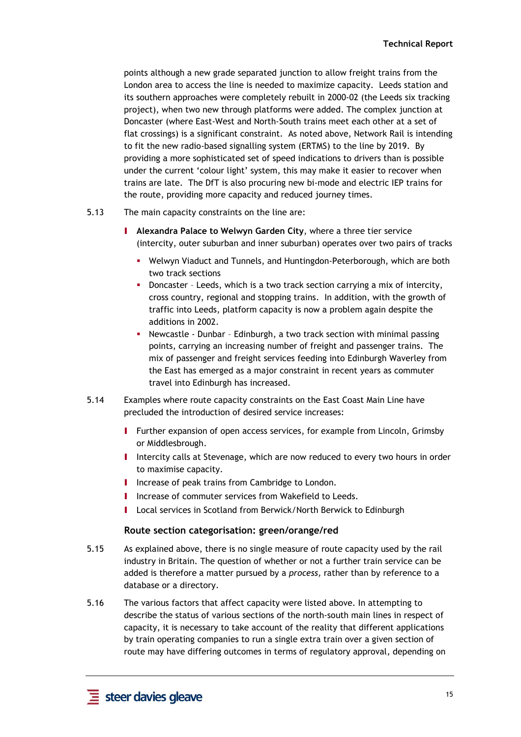points although a new grade separated junction to allow freight trains from the London area to access the line is needed to maximize capacity. Leeds station and its southern approaches were completely rebuilt in 2000-02 (the Leeds six tracking project), when two new through platforms were added. The complex junction at Doncaster (where East-West and North-South trains meet each other at a set of flat crossings) is a significant constraint. As noted above, Network Rail is intending to fit the new radio-based signalling system (ERTMS) to the line by 2019. By providing a more sophisticated set of speed indications to drivers than is possible under the current 'colour light' system, this may make it easier to recover when trains are late. The DfT is also procuring new bi-mode and electric IEP trains for the route, providing more capacity and reduced journey times.

- 5.13 The main capacity constraints on the line are:
	- **I** Alexandra Palace to Welwyn Garden City, where a three tier service (intercity, outer suburban and inner suburban) operates over two pairs of tracks
		- Welwyn Viaduct and Tunnels, and Huntingdon-Peterborough, which are both two track sections
		- **Doncaster Leeds, which is a two track section carrying a mix of intercity,** cross country, regional and stopping trains. In addition, with the growth of traffic into Leeds, platform capacity is now a problem again despite the additions in 2002.
		- Newcastle Dunbar Edinburgh, a two track section with minimal passing points, carrying an increasing number of freight and passenger trains. The mix of passenger and freight services feeding into Edinburgh Waverley from the East has emerged as a major constraint in recent years as commuter travel into Edinburgh has increased.
- 5.14 Examples where route capacity constraints on the East Coast Main Line have precluded the introduction of desired service increases:
	- I Further expansion of open access services, for example from Lincoln, Grimsby or Middlesbrough.
	- I Intercity calls at Stevenage, which are now reduced to every two hours in order to maximise capacity.
	- **I** Increase of peak trains from Cambridge to London.
	- I Increase of commuter services from Wakefield to Leeds.
	- I Local services in Scotland from Berwick/North Berwick to Edinburgh

#### Route section categorisation: green/orange/red

- 5.15 As explained above, there is no single measure of route capacity used by the rail industry in Britain. The question of whether or not a further train service can be added is therefore a matter pursued by a process, rather than by reference to a database or a directory.
- 5.16 The various factors that affect capacity were listed above. In attempting to describe the status of various sections of the north-south main lines in respect of capacity, it is necessary to take account of the reality that different applications by train operating companies to run a single extra train over a given section of route may have differing outcomes in terms of regulatory approval, depending on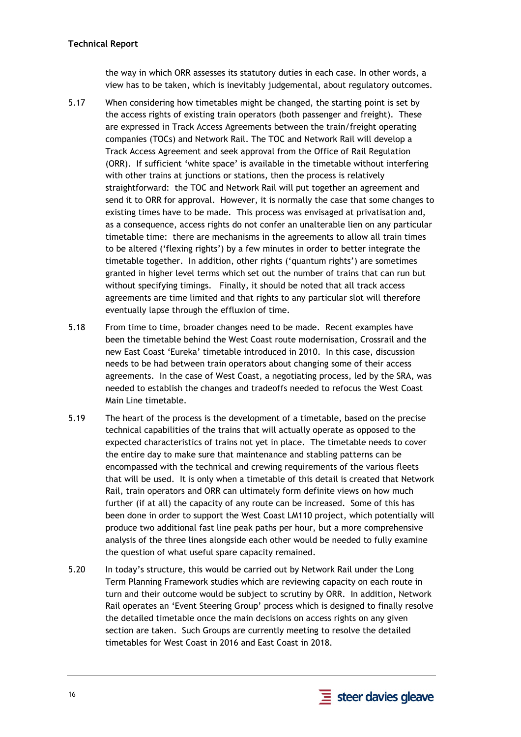### Technical Report

the way in which ORR assesses its statutory duties in each case. In other words, a view has to be taken, which is inevitably judgemental, about regulatory outcomes.

- 5.17 When considering how timetables might be changed, the starting point is set by the access rights of existing train operators (both passenger and freight). These are expressed in Track Access Agreements between the train/freight operating companies (TOCs) and Network Rail. The TOC and Network Rail will develop a Track Access Agreement and seek approval from the Office of Rail Regulation (ORR). If sufficient 'white space' is available in the timetable without interfering with other trains at junctions or stations, then the process is relatively straightforward: the TOC and Network Rail will put together an agreement and send it to ORR for approval. However, it is normally the case that some changes to existing times have to be made. This process was envisaged at privatisation and, as a consequence, access rights do not confer an unalterable lien on any particular timetable time: there are mechanisms in the agreements to allow all train times to be altered ('flexing rights') by a few minutes in order to better integrate the timetable together. In addition, other rights ('quantum rights') are sometimes granted in higher level terms which set out the number of trains that can run but without specifying timings. Finally, it should be noted that all track access agreements are time limited and that rights to any particular slot will therefore eventually lapse through the effluxion of time.
- 5.18 From time to time, broader changes need to be made. Recent examples have been the timetable behind the West Coast route modernisation, Crossrail and the new East Coast 'Eureka' timetable introduced in 2010. In this case, discussion needs to be had between train operators about changing some of their access agreements. In the case of West Coast, a negotiating process, led by the SRA, was needed to establish the changes and tradeoffs needed to refocus the West Coast Main Line timetable.
- 5.19 The heart of the process is the development of a timetable, based on the precise technical capabilities of the trains that will actually operate as opposed to the expected characteristics of trains not yet in place. The timetable needs to cover the entire day to make sure that maintenance and stabling patterns can be encompassed with the technical and crewing requirements of the various fleets that will be used. It is only when a timetable of this detail is created that Network Rail, train operators and ORR can ultimately form definite views on how much further (if at all) the capacity of any route can be increased. Some of this has been done in order to support the West Coast LM110 project, which potentially will produce two additional fast line peak paths per hour, but a more comprehensive analysis of the three lines alongside each other would be needed to fully examine the question of what useful spare capacity remained.
- 5.20 In today's structure, this would be carried out by Network Rail under the Long Term Planning Framework studies which are reviewing capacity on each route in turn and their outcome would be subject to scrutiny by ORR. In addition, Network Rail operates an 'Event Steering Group' process which is designed to finally resolve the detailed timetable once the main decisions on access rights on any given section are taken. Such Groups are currently meeting to resolve the detailed timetables for West Coast in 2016 and East Coast in 2018.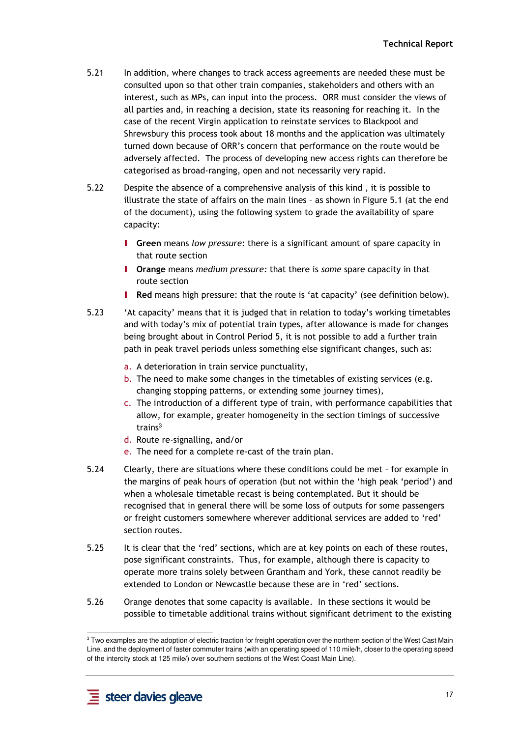- 5.21 In addition, where changes to track access agreements are needed these must be consulted upon so that other train companies, stakeholders and others with an interest, such as MPs, can input into the process. ORR must consider the views of all parties and, in reaching a decision, state its reasoning for reaching it. In the case of the recent Virgin application to reinstate services to Blackpool and Shrewsbury this process took about 18 months and the application was ultimately turned down because of ORR's concern that performance on the route would be adversely affected. The process of developing new access rights can therefore be categorised as broad-ranging, open and not necessarily very rapid.
- 5.22 Despite the absence of a comprehensive analysis of this kind , it is possible to illustrate the state of affairs on the main lines – as shown in Figure 5.1 (at the end of the document), using the following system to grade the availability of spare capacity:
	- I Green means low pressure: there is a significant amount of spare capacity in that route section
	- I Orange means medium pressure: that there is some spare capacity in that route section
	- I Red means high pressure: that the route is 'at capacity' (see definition below).
- 5.23 'At capacity' means that it is judged that in relation to today's working timetables and with today's mix of potential train types, after allowance is made for changes being brought about in Control Period 5, it is not possible to add a further train path in peak travel periods unless something else significant changes, such as:
	- a. A deterioration in train service punctuality,
	- b. The need to make some changes in the timetables of existing services (e.g. changing stopping patterns, or extending some journey times),
	- c. The introduction of a different type of train, with performance capabilities that allow, for example, greater homogeneity in the section timings of successive trains<sup>3</sup>
	- d. Route re-signalling, and/or
	- e. The need for a complete re-cast of the train plan.
- 5.24 Clearly, there are situations where these conditions could be met for example in the margins of peak hours of operation (but not within the 'high peak 'period') and when a wholesale timetable recast is being contemplated. But it should be recognised that in general there will be some loss of outputs for some passengers or freight customers somewhere wherever additional services are added to 'red' section routes.
- 5.25 It is clear that the 'red' sections, which are at key points on each of these routes, pose significant constraints. Thus, for example, although there is capacity to operate more trains solely between Grantham and York, these cannot readily be extended to London or Newcastle because these are in 'red' sections.
- 5.26 Orange denotes that some capacity is available. In these sections it would be possible to timetable additional trains without significant detriment to the existing

 $\overline{a}$ 

 $3$  Two examples are the adoption of electric traction for freight operation over the northern section of the West Cast Main Line, and the deployment of faster commuter trains (with an operating speed of 110 mile/h, closer to the operating speed of the intercity stock at 125 mile/) over southern sections of the West Coast Main Line).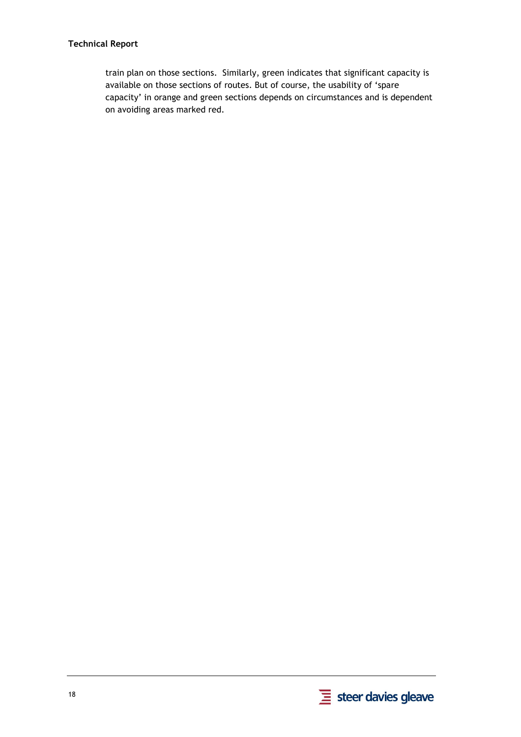### Technical Report

train plan on those sections. Similarly, green indicates that significant capacity is available on those sections of routes. But of course, the usability of 'spare capacity' in orange and green sections depends on circumstances and is dependent on avoiding areas marked red.